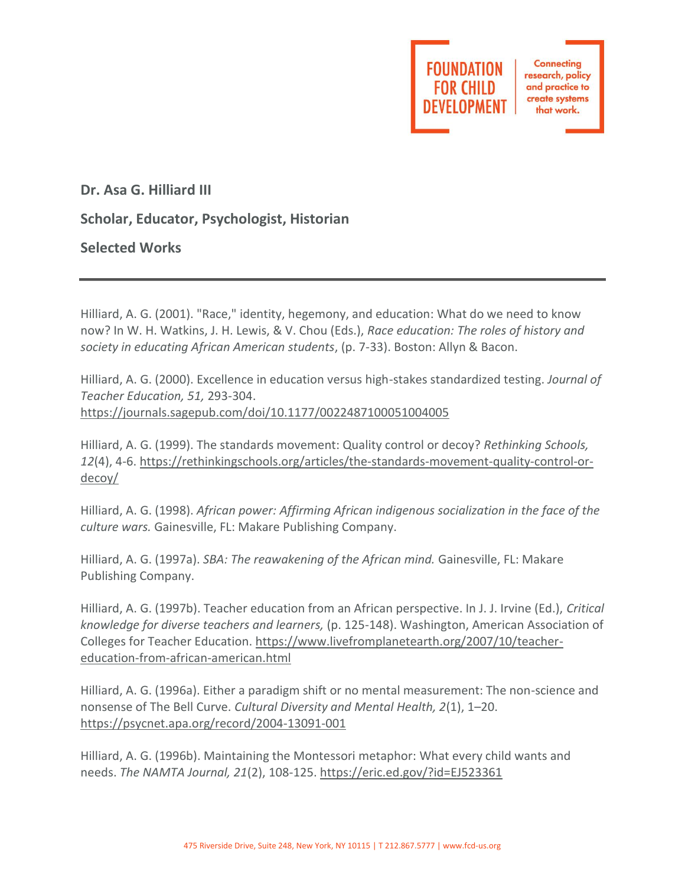

**Connecting** research, policy and practice to create systems that work.

**Dr. Asa G. Hilliard III**

**Scholar, Educator, Psychologist, Historian**

**Selected Works**

Hilliard, A. G. (2001). "Race," identity, hegemony, and education: What do we need to know now? In W. H. Watkins, J. H. Lewis, & V. Chou (Eds.), *Race education: The roles of history and society in educating African American students*, (p. 7-33). Boston: Allyn & Bacon.

Hilliard, A. G. (2000). Excellence in education versus high-stakes standardized testing. *Journal of Teacher Education, 51,* 293-304. <https://journals.sagepub.com/doi/10.1177/0022487100051004005>

Hilliard, A. G. (1999). The standards movement: Quality control or decoy? *Rethinking Schools, 12*(4), 4-6. [https://rethinkingschools.org/articles/the-standards-movement-quality-control-or](https://rethinkingschools.org/articles/the-standards-movement-quality-control-or-decoy/)[decoy/](https://rethinkingschools.org/articles/the-standards-movement-quality-control-or-decoy/)

Hilliard, A. G. (1998). *African power: Affirming African indigenous socialization in the face of the culture wars.* Gainesville, FL: Makare Publishing Company.

Hilliard, A. G. (1997a). *SBA: The reawakening of the African mind.* Gainesville, FL: Makare Publishing Company.

Hilliard, A. G. (1997b). Teacher education from an African perspective. In J. J. Irvine (Ed.), *Critical knowledge for diverse teachers and learners,* (p. 125-148). Washington, American Association of Colleges for Teacher Education. [https://www.livefromplanetearth.org/2007/10/teacher](https://www.livefromplanetearth.org/2007/10/teacher-education-from-african-american.html)[education-from-african-american.html](https://www.livefromplanetearth.org/2007/10/teacher-education-from-african-american.html)

Hilliard, A. G. (1996a). Either a paradigm shift or no mental measurement: The non-science and nonsense of The Bell Curve. *Cultural Diversity and Mental Health, 2*(1), 1–20. <https://psycnet.apa.org/record/2004-13091-001>

Hilliard, A. G. (1996b). Maintaining the Montessori metaphor: What every child wants and needs. *The NAMTA Journal, 21*(2), 108-125.<https://eric.ed.gov/?id=EJ523361>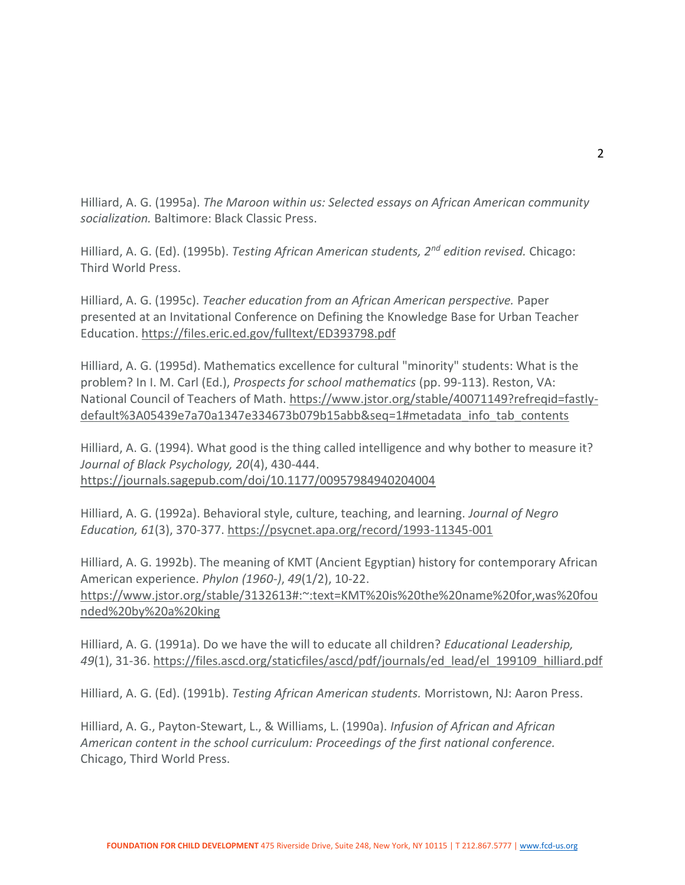Hilliard, A. G. (1995a). *The Maroon within us: Selected essays on African American community socialization.* Baltimore: Black Classic Press.

Hilliard, A. G. (Ed). (1995b). *Testing African American students, 2nd edition revised.* Chicago: Third World Press.

Hilliard, A. G. (1995c). *Teacher education from an African American perspective.* Paper presented at an Invitational Conference on Defining the Knowledge Base for Urban Teacher Education.<https://files.eric.ed.gov/fulltext/ED393798.pdf>

Hilliard, A. G. (1995d). Mathematics excellence for cultural "minority" students: What is the problem? In I. M. Carl (Ed.), *Prospects for school mathematics* (pp. 99-113). Reston, VA: National Council of Teachers of Math. [https://www.jstor.org/stable/40071149?refreqid=fastly](https://www.jstor.org/stable/40071149?refreqid=fastly-default%3A05439e7a70a1347e334673b079b15abb&seq=1#metadata_info_tab_contents)[default%3A05439e7a70a1347e334673b079b15abb&seq=1#metadata\\_info\\_tab\\_contents](https://www.jstor.org/stable/40071149?refreqid=fastly-default%3A05439e7a70a1347e334673b079b15abb&seq=1#metadata_info_tab_contents)

Hilliard, A. G. (1994). What good is the thing called intelligence and why bother to measure it? *Journal of Black Psychology, 20*(4), 430-444. <https://journals.sagepub.com/doi/10.1177/00957984940204004>

Hilliard, A. G. (1992a). Behavioral style, culture, teaching, and learning. *Journal of Negro Education, 61*(3), 370-377.<https://psycnet.apa.org/record/1993-11345-001>

Hilliard, A. G. 1992b). The meaning of KMT (Ancient Egyptian) history for contemporary African American experience. *Phylon (1960-)*, *49*(1/2), 10-22. [https://www.jstor.org/stable/3132613#:~:text=KMT%20is%20the%20name%20for,was%20fou](https://www.jstor.org/stable/3132613#:~:text=KMT%20is%20the%20name%20for,was%20founded%20by%20a%20king) [nded%20by%20a%20king](https://www.jstor.org/stable/3132613#:~:text=KMT%20is%20the%20name%20for,was%20founded%20by%20a%20king)

Hilliard, A. G. (1991a). Do we have the will to educate all children? *Educational Leadership, 49*(1), 31-36. [https://files.ascd.org/staticfiles/ascd/pdf/journals/ed\\_lead/el\\_199109\\_hilliard.pdf](https://files.ascd.org/staticfiles/ascd/pdf/journals/ed_lead/el_199109_hilliard.pdf)

Hilliard, A. G. (Ed). (1991b). *Testing African American students.* Morristown, NJ: Aaron Press.

Hilliard, A. G., Payton-Stewart, L., & Williams, L. (1990a). *Infusion of African and African American content in the school curriculum: Proceedings of the first national conference.* Chicago, Third World Press.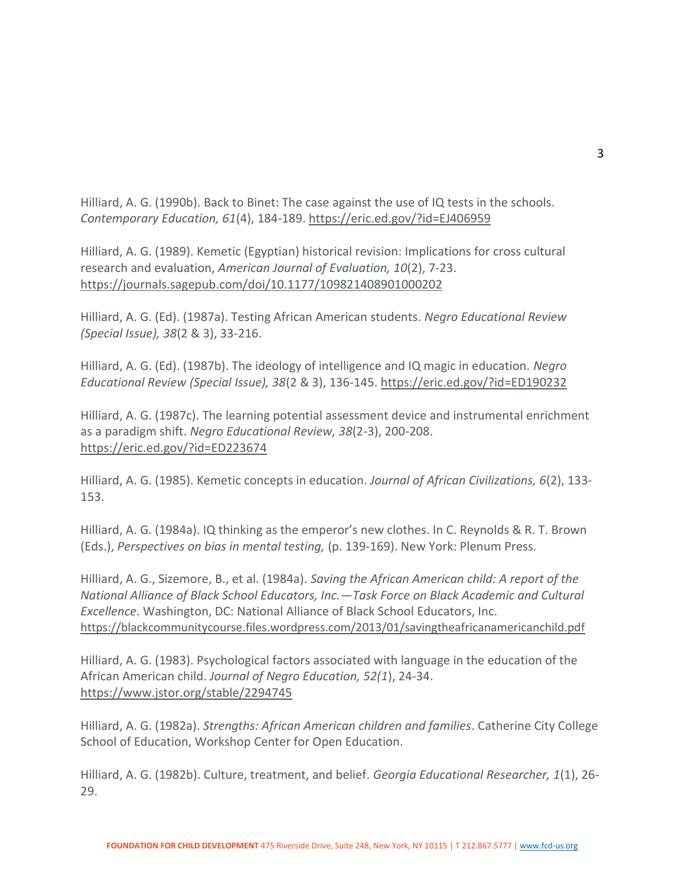Hilliard, A. G. (1990b). Back to Binet: The case against the use of IQ tests in the schools. *Contemporary Education, 61*(4), 184-189.<https://eric.ed.gov/?id=EJ406959>

Hilliard, A. G. (1989). Kemetic (Egyptian) historical revision: Implications for cross cultural research and evaluation, *American Journal of Evaluation, 10*(2), 7-23. <https://journals.sagepub.com/doi/10.1177/109821408901000202>

Hilliard, A. G. (Ed). (1987a). Testing African American students. *Negro Educational Review (Special Issue), 38*(2 & 3), 33-216.

Hilliard, A. G. (Ed). (1987b). The ideology of intelligence and IQ magic in education. *Negro Educational Review (Special Issue), 38*(2 & 3), 136-145.<https://eric.ed.gov/?id=ED190232>

Hilliard, A. G. (1987c). The learning potential assessment device and instrumental enrichment as a paradigm shift. *Negro Educational Review, 38*(2-3), 200-208. <https://eric.ed.gov/?id=ED223674>

Hilliard, A. G. (1985). Kemetic concepts in education. *Journal of African Civilizations, 6*(2), 133- 153.

Hilliard, A. G. (1984a). IQ thinking as the emperor's new clothes. In C. Reynolds & R. T. Brown (Eds.), *Perspectives on bias in mental testing,* (p. 139-169). New York: Plenum Press.

Hilliard, A. G., Sizemore, B., et al. (1984a). *Saving the African American child: A report of the National Alliance of Black School Educators, Inc.—Task Force on Black Academic and Cultural Excellence*. Washington, DC: National Alliance of Black School Educators, Inc. <https://blackcommunitycourse.files.wordpress.com/2013/01/savingtheafricanamericanchild.pdf>

Hilliard, A. G. (1983). Psychological factors associated with language in the education of the African American child. *Journal of Negro Education, 52(1*), 24-34. <https://www.jstor.org/stable/2294745>

Hilliard, A. G. (1982a). *Strengths: African American children and families*. Catherine City College School of Education, Workshop Center for Open Education.

Hilliard, A. G. (1982b). Culture, treatment, and belief. *Georgia Educational Researcher, 1*(1), 26- 29.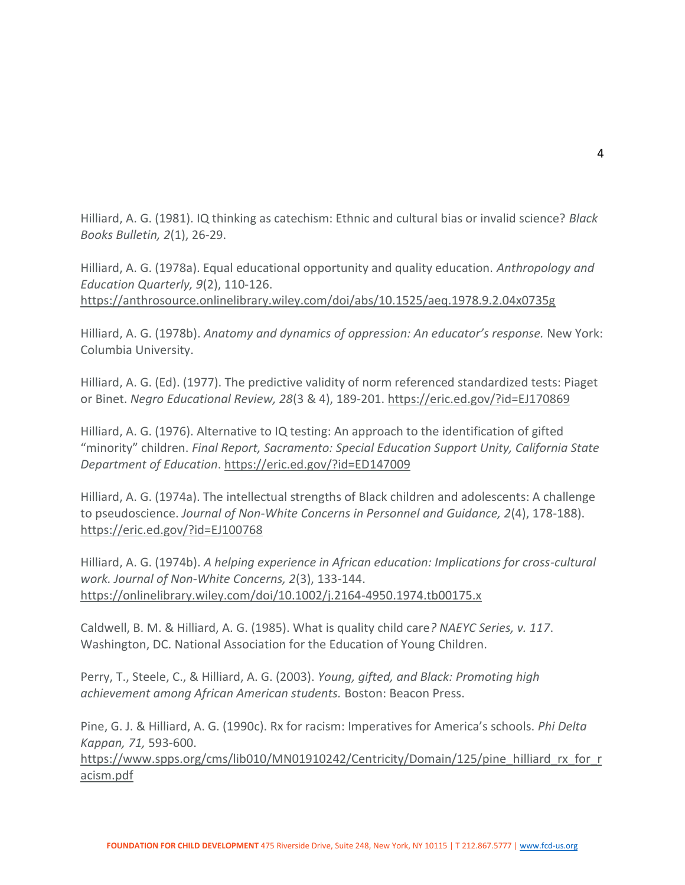Hilliard, A. G. (1981). IQ thinking as catechism: Ethnic and cultural bias or invalid science? *Black Books Bulletin, 2*(1), 26-29.

Hilliard, A. G. (1978a). Equal educational opportunity and quality education. *Anthropology and Education Quarterly, 9*(2), 110-126.

<https://anthrosource.onlinelibrary.wiley.com/doi/abs/10.1525/aeq.1978.9.2.04x0735g>

Hilliard, A. G. (1978b). *Anatomy and dynamics of oppression: An educator's response.* New York: Columbia University.

Hilliard, A. G. (Ed). (1977). The predictive validity of norm referenced standardized tests: Piaget or Binet. *Negro Educational Review, 28*(3 & 4), 189-201.<https://eric.ed.gov/?id=EJ170869>

Hilliard, A. G. (1976). Alternative to IQ testing: An approach to the identification of gifted "minority" children. *Final Report, Sacramento: Special Education Support Unity, California State Department of Education*.<https://eric.ed.gov/?id=ED147009>

Hilliard, A. G. (1974a). The intellectual strengths of Black children and adolescents: A challenge to pseudoscience. *Journal of Non-White Concerns in Personnel and Guidance, 2*(4), 178-188). <https://eric.ed.gov/?id=EJ100768>

Hilliard, A. G. (1974b). *A helping experience in African education: Implications for cross-cultural work. Journal of Non-White Concerns, 2*(3), 133-144. <https://onlinelibrary.wiley.com/doi/10.1002/j.2164-4950.1974.tb00175.x>

Caldwell, B. M. & Hilliard, A. G. (1985). What is quality child care*? NAEYC Series, v. 117*. Washington, DC. National Association for the Education of Young Children.

Perry, T., Steele, C., & Hilliard, A. G. (2003). *Young, gifted, and Black: Promoting high achievement among African American students.* Boston: Beacon Press.

Pine, G. J. & Hilliard, A. G. (1990c). Rx for racism: Imperatives for America's schools. *Phi Delta Kappan, 71,* 593-600.

[https://www.spps.org/cms/lib010/MN01910242/Centricity/Domain/125/pine\\_hilliard\\_rx\\_for\\_r](https://www.spps.org/cms/lib010/MN01910242/Centricity/Domain/125/pine_hilliard_rx_for_racism.pdf) [acism.pdf](https://www.spps.org/cms/lib010/MN01910242/Centricity/Domain/125/pine_hilliard_rx_for_racism.pdf)